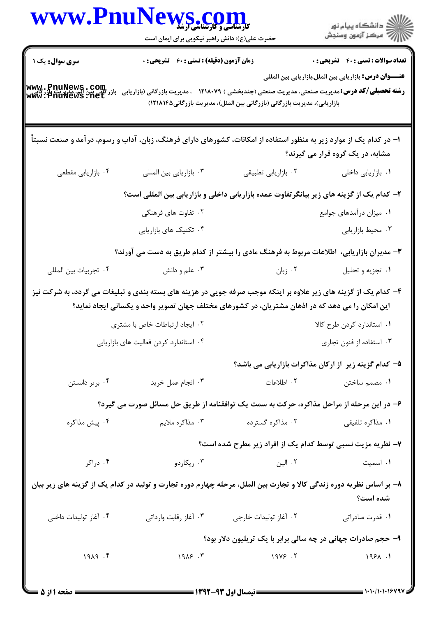|                                                                            | WWW.PnuNews.com<br>حضرت علی(ع): دانش راهبر نیکویی برای ایمان است                                                                                                                                                                                                                               |                                                                           | ر دانشڪاه پيام نور<br>ا∜ مرکز آزمون وسنڊش                                                                    |
|----------------------------------------------------------------------------|------------------------------------------------------------------------------------------------------------------------------------------------------------------------------------------------------------------------------------------------------------------------------------------------|---------------------------------------------------------------------------|--------------------------------------------------------------------------------------------------------------|
| <b>سری سوال :</b> یک ۱<br>www.PnuNews.com<br>كَانِي بَيْنَ aww.PnuNews.net | <b>زمان آزمون (دقیقه) : تستی : 60 ٪ تشریحی : 0</b><br><b>رشته تحصیلی/گد درس:</b> مدیریت صنعتی، مدیریت صنعتی (چندبخشی ) ۱۲۱۸۰۷۹ - ، مدیریت بازرگانی (بازاریابی                                                                                                                                  | بازاریابی)، مدیریت بازرگانی (بازرگانی بین الملل)، مدیریت بازرگانی۱۲۱۸۱۴۵) | <b>تعداد سوالات : تستی : 40 قشریحی : 0</b><br><b>عنــــوان درس:</b> بازاريابي بين الملل،بازاريابي بين المللي |
|                                                                            | ۱– در کدام یک از موارد زیر به منظور استفاده از امکانات، کشورهای دارای فرهنگ، زبان، آداب و رسوم، درآمد و صنعت نسبتاً                                                                                                                                                                            |                                                                           | مشابه، در یک گروه قرار می گیرند؟                                                                             |
| ۰۴ بازاریابی مقطعی                                                         | ٠٣ بازاريابي بين المللي                                                                                                                                                                                                                                                                        | ٠٢ بازاريابي تطبيقي                                                       | ٠١. بازاريابي داخلي                                                                                          |
|                                                                            | ۲– کدام یک از گزینه های زیر بیانگرتفاوت عمده بازاریابی داخلی و بازاریابی بین المللی است؟<br>۰۲ تفاوت های فرهنگی<br>۰۴ تکنیک های بازاریابی                                                                                                                                                      |                                                                           | ۰۱ میزان درآمدهای جوامع<br>۰۳ محيط بازاريابي                                                                 |
| ۰۴ تجربيات بين المللي                                                      | ۳- مدیران بازاریابی، اطلاعات مربوط به فرهنگ مادی را بیشتر از کدام طریق به دست می آورند؟<br>۰۳ علم و دانش                                                                                                                                                                                       | ۰۲ زبان                                                                   | ۰۱ تجزیه و تحلیل                                                                                             |
|                                                                            | ۴- کدام یک از گزینه های زیر علاوه بر اینکه موجب صرفه جویی در هزینه های بسته بندی و تبلیغات می گردد، به شرکت نیز<br>این امکان را می دهد که در اذهان مشتریان، در کشورهای مختلف جهان تصویر واحد و یکسانی ایجاد نماید؟<br>۰۲ ایجاد ارتباطات خاص با مشتری<br>۰۴ استاندارد کردن فعالیت های بازاریابی |                                                                           | ٠١. استاندارد كردن طرح كالا<br>۰۳ استفاده از فنون تجاری                                                      |
|                                                                            |                                                                                                                                                                                                                                                                                                |                                                                           | ۵– کدام گزینه زیر از ارکان مذاکرات بازاریابی می باشد؟                                                        |
| ۰۴ برتر دانستن                                                             | ۰۳ انجام عمل خرید                                                                                                                                                                                                                                                                              | ۰۲ اطلاعات                                                                | ۰۱ مصمم ساختن                                                                                                |
|                                                                            | ۶– در این مرحله از مراحل مذاکره، حرکت به سمت یک توافقنامه از طریق حل مسائل صورت می گیرد؟                                                                                                                                                                                                       |                                                                           |                                                                                                              |
| ۰۴ پیش مذاکره                                                              | ۰۳ مذاکره ملايم                                                                                                                                                                                                                                                                                | ۰۲ مذاکره گسترده                                                          | ۰۱ مذاکره تلفیقی                                                                                             |
|                                                                            |                                                                                                                                                                                                                                                                                                |                                                                           | ۷– نظریه مزیت نسبی توسط کدام یک از افراد زیر مطرح شده است؟                                                   |
| ۰۴ دراکر                                                                   | ۰۳ ريکاردو                                                                                                                                                                                                                                                                                     | ۰۲ الین                                                                   | ٠١ اسميت                                                                                                     |
|                                                                            | ۸– بر اساس نظریه دوره زندگی کالا و تجارت بین الملل، مرحله چهارم دوره تجارت و تولید در کدام یک از گزینه های زیر بیان                                                                                                                                                                            |                                                                           | شده است؟                                                                                                     |
| ۰۴ آغاز تولیدات داخلی                                                      | ۰۳ آغاز رقابت وارداتی                                                                                                                                                                                                                                                                          | ۰۲ آغاز تولیدات خارجی                                                     | ۰۱ قدرت صادراتی                                                                                              |
|                                                                            |                                                                                                                                                                                                                                                                                                |                                                                           | ۹- حجم صادرات جهانی در چه سالی برابر با یک تریلیون دلار بود؟                                                 |
| 1919.5                                                                     |                                                                                                                                                                                                                                                                                                | $19\lambda$ $5$ $7$                                                       | 198A.1                                                                                                       |

=1+1+/1+1+1&49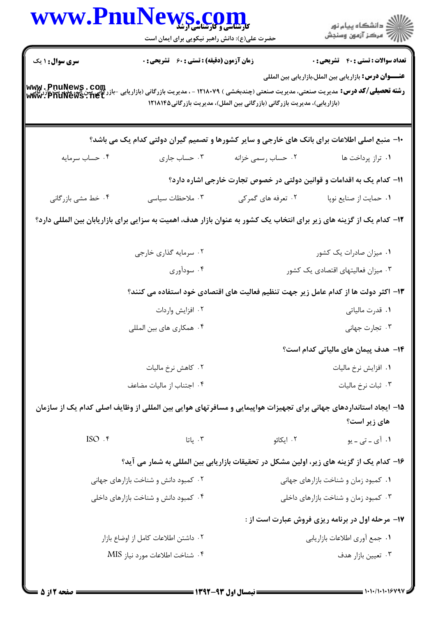|                                                              | www.PnuNews.com<br>حضرت علی(ع): دانش راهبر نیکویی برای ایمان است                                                                                       |                                                                                     | ر<br>دانشڪاه پيام نور<br>∥ مرڪز آزمون وسنڊش                                                                    |
|--------------------------------------------------------------|--------------------------------------------------------------------------------------------------------------------------------------------------------|-------------------------------------------------------------------------------------|----------------------------------------------------------------------------------------------------------------|
| <b>سری سوال : ۱ یک</b><br>www.PnuNews.com<br>www.PnuNews.net | زمان آزمون (دقیقه) : تستی : 60 ٪ تشریحی : 0<br><b>رشته تحصیلی/گد درس:</b> مدیریت صنعتی، مدیریت صنعتی (چندبخشی ) ۱۲۱۸۰۷۹ - ، مدیریت بازرگانی (بازاریابی | (بازاریابی)، مدیریت بازرگانی (بازرگانی بین الملل)، مدیریت بازرگانی1۲۱۸۱۴۵           | <b>تعداد سوالات : تستی : 40 - تشریحی : 0</b><br><b>عنــــوان درس:</b> بازاریابی بین الملل،بازاریابی بین المللی |
|                                                              | ۱۰− منبع اصلی اطلاعات برای بانک های خارجی و سایر کشورها و تصمیم گیران دولتی کدام یک می باشد؟                                                           |                                                                                     |                                                                                                                |
| ۰۴ حساب سرمايه                                               | ۰۳ حساب جاري                                                                                                                                           | ۰۲ حساب رسمی خزانه                                                                  | ٠١ تراز پرداخت ها                                                                                              |
|                                                              |                                                                                                                                                        | 1۱– کدام یک به اقدامات و قوانین دولتی در خصوص تجارت خارجی اشاره دارد؟               |                                                                                                                |
| ۰۴ خط مشي بازرگاني                                           | ۰۳ ملاحظات سیاسی                                                                                                                                       | ۰۲ تعرفه های گمرکی                                                                  | ٠١ حمايت از صنايع نوپا                                                                                         |
|                                                              | ۱۲– کدام یک از گزینه های زیر برای انتخاب یک کشور به عنوان بازار هدف، اهمیت به سزایی برای بازاریابان بین المللی دارد؟                                   |                                                                                     |                                                                                                                |
|                                                              | ۰۲ سرمایه گذاری خارجی                                                                                                                                  |                                                                                     | ۰۱ میزان صادرات یک کشور                                                                                        |
|                                                              | ۰۴ سودآوری                                                                                                                                             | ۰۳ میزان فعالیتهای اقتصادی یک کشور                                                  |                                                                                                                |
|                                                              |                                                                                                                                                        | ۱۳– اکثر دولت ها از کدام عامل زیر جهت تنظیم فعالیت های اقتصادی خود استفاده می کنند؟ |                                                                                                                |
|                                                              | ۰۲ افزایش واردات                                                                                                                                       | ۰۱ قدرت مالیاتی                                                                     |                                                                                                                |
|                                                              | ۰۴ همکاری های بین المللی                                                                                                                               |                                                                                     | ۰۳ تجارت جهانی                                                                                                 |
|                                                              |                                                                                                                                                        |                                                                                     | <b>۱۴</b> – هدف پیمان های مالیاتی کدام است؟                                                                    |
|                                                              | ۰۲ کاهش نرخ مالیات                                                                                                                                     |                                                                                     | ٠١. افزايش نرخ ماليات                                                                                          |
|                                                              | ۰۴ اجتناب از ماليات مضاعف                                                                                                                              |                                                                                     | ۰۳ ثبات نرخ ماليات                                                                                             |
|                                                              | ۱۵− ایجاد استانداردهای جهانی برای تجهیزات هواپیمایی و مسافرتهای هوایی بین المللی از وظایف اصلی کدام یک از سازمان                                       |                                                                                     | های زیر است؟                                                                                                   |
| ISO .۴                                                       | ۰۳ یاتا                                                                                                                                                | ۰۲ ایکائو                                                                           | ۰۱ آی ـ تی ـ یو                                                                                                |
|                                                              | ۱۶– کدام یک از گزینه های زیر، اولین مشکل در تحقیقات بازاریابی بین المللی به شمار می آید؟                                                               |                                                                                     |                                                                                                                |
|                                                              | ۰۲ کمبود دانش و شناخت بازارهای جهانی                                                                                                                   | ۰۱ کمبود زمان و شناخت بازارهای جهانی                                                |                                                                                                                |
|                                                              | ۰۴ کمبود دانش و شناخت بازارهای داخلی                                                                                                                   |                                                                                     | ۰۳ کمبود زمان و شناخت بازارهای داخلی                                                                           |
|                                                              |                                                                                                                                                        |                                                                                     | <b>۱۷- مرحله اول در برنامه ریزی فروش عبارت است از :</b>                                                        |
|                                                              | ۰۲ داشتن اطلاعات کامل از اوضاع بازار                                                                                                                   | ٠١ جمع أورى اطلاعات بازاريابي                                                       |                                                                                                                |
|                                                              | ۰۴ شناخت اطلاعات مورد نياز MIS                                                                                                                         |                                                                                     | ۰۳ تعيين بازار هدف                                                                                             |
|                                                              |                                                                                                                                                        |                                                                                     |                                                                                                                |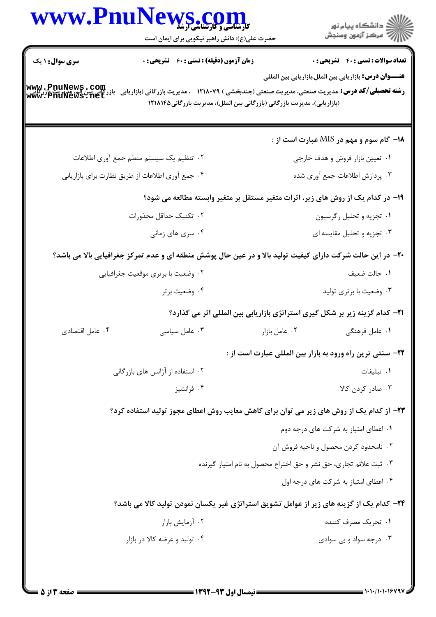|                        | WWW.PnuNews.com<br>حضرت علی(ع): دانش راهبر نیکویی برای ایمان است                                                                                                                     |                                                                   |                                                                                    |
|------------------------|--------------------------------------------------------------------------------------------------------------------------------------------------------------------------------------|-------------------------------------------------------------------|------------------------------------------------------------------------------------|
| <b>سری سوال : ۱ یک</b> | <b>زمان آزمون (دقیقه) : تستی : 60 ٪ تشریحی : 0</b>                                                                                                                                   |                                                                   | <b>تعداد سوالات : تستي : 40 قشريحي : 0</b>                                         |
| www.PnuNews.com        | <b>رشته تحصیلی/گد درس:</b> مدیریت صنعتی، مدیریت صنعتی (چندبخشی ) ۱۲۱۸۰۷۹ - ، مدیریت بازرگانی (بازاریابی<br>(بازاریابی)، مدیریت بازرگانی (بازرگانی بین الملل)، مدیریت بازرگانی1۲۱۸۱۴۵ |                                                                   | <b>عنــــوان درس:</b> بازاریابی بین الملل،بازاریابی بین المللی                     |
|                        |                                                                                                                                                                                      |                                                                   | ۱۸– گام سوم و مهم در MIS عبارت است از :                                            |
|                        | ۰۲ تنظیم یک سیستم منظم جمع آوری اطلاعات                                                                                                                                              |                                                                   | ۰۱ تعیین بازار فروش و هدف خارجی                                                    |
|                        | ۰۴ جمع أوري اطلاعات از طريق نظارت براي بازاريابي                                                                                                                                     |                                                                   | ۰۳ پردازش اطلاعات جمع آوري شده                                                     |
|                        | ۱۹- در کدام یک از روش های زیر، اثرات متغیر مستقل بر متغیر وابسته مطالعه می شود؟                                                                                                      |                                                                   |                                                                                    |
|                        | ۰۲ تکنیک حداقل مجذورات                                                                                                                                                               |                                                                   | ۰۱ تجزیه و تحلیل رگرسیون                                                           |
|                        | ۰۴ سری های زمانی                                                                                                                                                                     |                                                                   | ۰۳ تجزیه و تحلیل مقایسه ای                                                         |
|                        | +۲- در این حالت شرکت دارای کیفیت تولید بالا و در عین حال پوشش منطقه ای و عدم تمرکز جغرافیایی بالا می باشد؟                                                                           |                                                                   |                                                                                    |
|                        | ۰۲ وضعیت با برتری موقعیت جغرافیایی                                                                                                                                                   |                                                                   | ٠١. حالت ضعيف                                                                      |
|                        | ۰۴ وضعیت برتر                                                                                                                                                                        |                                                                   | ۰۳ وضعیت با برتری تولید                                                            |
|                        |                                                                                                                                                                                      |                                                                   | <b>۲۱</b> – کدام گزینه زیر بر شکل گیری استراتژی بازاریابی بین المللی اثر می گذارد؟ |
| ۰۴ عامل اقتصادى        | ۰۳ عامل سیاسی                                                                                                                                                                        | ۰۲ عامل بازار                                                     | ۰۱ عامل فرهنگی                                                                     |
|                        |                                                                                                                                                                                      |                                                                   | <b>3۲-</b> سنتی ترین راه ورود به بازار بین المللی عبارت است از :                   |
|                        | ۰۲ استفاده از آژانس های بازرگانی                                                                                                                                                     |                                                                   | ۰۱ تبلیغات                                                                         |
|                        | ۰۴ فرانشيز                                                                                                                                                                           |                                                                   | ۰۳ صادر کردن کالا                                                                  |
|                        | ۲۳- از کدام یک از روش های زیر می توان برای کاهش معایب روش اعطای مجوز تولید استفاده کرد؟                                                                                              |                                                                   |                                                                                    |
|                        |                                                                                                                                                                                      |                                                                   | ۰۱ اعطای امتیاز به شرکت های درجه دوم                                               |
|                        |                                                                                                                                                                                      |                                                                   | ۰۲ نامحدود کردن محصول و ناحیه فروش آن                                              |
|                        |                                                                                                                                                                                      | ۰۳ ثبت علائم تجارى، حق نشر و حق اختراع محصول به نام امتياز گيرنده |                                                                                    |
|                        |                                                                                                                                                                                      |                                                                   | ۰۴ اعطای امتیاز به شرکت های درجه اول                                               |
|                        | <b>۲۴</b> – کدام یک از گزینه های زیر از عوامل تشویق استراتژی غیر یکسان نمودن تولید کالا می باشد؟                                                                                     |                                                                   |                                                                                    |
|                        | ۰۲ آزمایش بازار                                                                                                                                                                      |                                                                   | ۰۱ تحریک مصرف کننده                                                                |
|                        | ۰۴ تولید و عرضه کالا در بازار                                                                                                                                                        |                                                                   | ۰۳ درجه سواد و بی سوادی                                                            |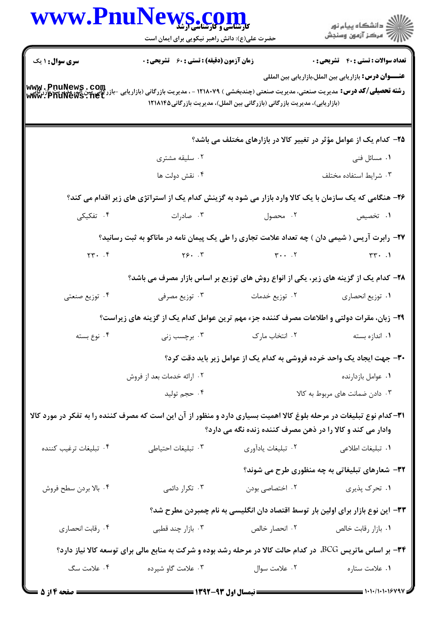|                                                                                                             |                    | ر<br>دانشڪاه پيام نور)<br>ا∛ مرڪز آزمون وسنڊش                                                                                                                                                                                                                                                                                                                                                                                                                                                                                                                                                                                                                                                                                                                                                                                                                                                                                                                                                                                                                                                                                                                                                                                                                                                                                                                                                                                                                                                                                                           |
|-------------------------------------------------------------------------------------------------------------|--------------------|---------------------------------------------------------------------------------------------------------------------------------------------------------------------------------------------------------------------------------------------------------------------------------------------------------------------------------------------------------------------------------------------------------------------------------------------------------------------------------------------------------------------------------------------------------------------------------------------------------------------------------------------------------------------------------------------------------------------------------------------------------------------------------------------------------------------------------------------------------------------------------------------------------------------------------------------------------------------------------------------------------------------------------------------------------------------------------------------------------------------------------------------------------------------------------------------------------------------------------------------------------------------------------------------------------------------------------------------------------------------------------------------------------------------------------------------------------------------------------------------------------------------------------------------------------|
|                                                                                                             |                    | <b>تعداد سوالات : تستی : 40 قشریحی : 0</b><br>عنـــوان درس: بازاریابی بین الملل،بازاریابی بین المللی                                                                                                                                                                                                                                                                                                                                                                                                                                                                                                                                                                                                                                                                                                                                                                                                                                                                                                                                                                                                                                                                                                                                                                                                                                                                                                                                                                                                                                                    |
|                                                                                                             |                    |                                                                                                                                                                                                                                                                                                                                                                                                                                                                                                                                                                                                                                                                                                                                                                                                                                                                                                                                                                                                                                                                                                                                                                                                                                                                                                                                                                                                                                                                                                                                                         |
|                                                                                                             |                    |                                                                                                                                                                                                                                                                                                                                                                                                                                                                                                                                                                                                                                                                                                                                                                                                                                                                                                                                                                                                                                                                                                                                                                                                                                                                                                                                                                                                                                                                                                                                                         |
| ۰۲ سلیقه مشتری                                                                                              |                    | ۰۱ مسائل فنی                                                                                                                                                                                                                                                                                                                                                                                                                                                                                                                                                                                                                                                                                                                                                                                                                                                                                                                                                                                                                                                                                                                                                                                                                                                                                                                                                                                                                                                                                                                                            |
| ۰۴ نقش دولت ها                                                                                              |                    | ۰۳ شرايط استفاده مختلف                                                                                                                                                                                                                                                                                                                                                                                                                                                                                                                                                                                                                                                                                                                                                                                                                                                                                                                                                                                                                                                                                                                                                                                                                                                                                                                                                                                                                                                                                                                                  |
|                                                                                                             |                    |                                                                                                                                                                                                                                                                                                                                                                                                                                                                                                                                                                                                                                                                                                                                                                                                                                                                                                                                                                                                                                                                                                                                                                                                                                                                                                                                                                                                                                                                                                                                                         |
| ۰۳ صادرات                                                                                                   |                    | ۰۱ تخصیص                                                                                                                                                                                                                                                                                                                                                                                                                                                                                                                                                                                                                                                                                                                                                                                                                                                                                                                                                                                                                                                                                                                                                                                                                                                                                                                                                                                                                                                                                                                                                |
|                                                                                                             |                    |                                                                                                                                                                                                                                                                                                                                                                                                                                                                                                                                                                                                                                                                                                                                                                                                                                                                                                                                                                                                                                                                                                                                                                                                                                                                                                                                                                                                                                                                                                                                                         |
|                                                                                                             |                    |                                                                                                                                                                                                                                                                                                                                                                                                                                                                                                                                                                                                                                                                                                                                                                                                                                                                                                                                                                                                                                                                                                                                                                                                                                                                                                                                                                                                                                                                                                                                                         |
|                                                                                                             |                    |                                                                                                                                                                                                                                                                                                                                                                                                                                                                                                                                                                                                                                                                                                                                                                                                                                                                                                                                                                                                                                                                                                                                                                                                                                                                                                                                                                                                                                                                                                                                                         |
| ۰۳ توزیع مصرفی                                                                                              |                    | ٠١ توزيع انحصاري                                                                                                                                                                                                                                                                                                                                                                                                                                                                                                                                                                                                                                                                                                                                                                                                                                                                                                                                                                                                                                                                                                                                                                                                                                                                                                                                                                                                                                                                                                                                        |
|                                                                                                             |                    |                                                                                                                                                                                                                                                                                                                                                                                                                                                                                                                                                                                                                                                                                                                                                                                                                                                                                                                                                                                                                                                                                                                                                                                                                                                                                                                                                                                                                                                                                                                                                         |
| ۰۳ برچسب زنی                                                                                                | ٠٢ انتخاب مارك     | ٠١ اندازه بسته                                                                                                                                                                                                                                                                                                                                                                                                                                                                                                                                                                                                                                                                                                                                                                                                                                                                                                                                                                                                                                                                                                                                                                                                                                                                                                                                                                                                                                                                                                                                          |
|                                                                                                             |                    |                                                                                                                                                                                                                                                                                                                                                                                                                                                                                                                                                                                                                                                                                                                                                                                                                                                                                                                                                                                                                                                                                                                                                                                                                                                                                                                                                                                                                                                                                                                                                         |
| ۰۲ ارائه خدمات بعد از فروش                                                                                  |                    | ٠١ عوامل بازدارنده                                                                                                                                                                                                                                                                                                                                                                                                                                                                                                                                                                                                                                                                                                                                                                                                                                                                                                                                                                                                                                                                                                                                                                                                                                                                                                                                                                                                                                                                                                                                      |
| ۰۴ حجم توليد                                                                                                |                    | ۰۳ دادن ضمانت های مربوط به کالا                                                                                                                                                                                                                                                                                                                                                                                                                                                                                                                                                                                                                                                                                                                                                                                                                                                                                                                                                                                                                                                                                                                                                                                                                                                                                                                                                                                                                                                                                                                         |
|                                                                                                             |                    |                                                                                                                                                                                                                                                                                                                                                                                                                                                                                                                                                                                                                                                                                                                                                                                                                                                                                                                                                                                                                                                                                                                                                                                                                                                                                                                                                                                                                                                                                                                                                         |
| ٠٣ تبليغات احتياطي                                                                                          | ٠٢ تبليغات يادآوري | ٠١ تبليغات اطلاعي                                                                                                                                                                                                                                                                                                                                                                                                                                                                                                                                                                                                                                                                                                                                                                                                                                                                                                                                                                                                                                                                                                                                                                                                                                                                                                                                                                                                                                                                                                                                       |
|                                                                                                             |                    | 32- شعارهای تبلیغاتی به چه منظوری طرح می شوند؟                                                                                                                                                                                                                                                                                                                                                                                                                                                                                                                                                                                                                                                                                                                                                                                                                                                                                                                                                                                                                                                                                                                                                                                                                                                                                                                                                                                                                                                                                                          |
| ۰۳ تکرار دائمی                                                                                              | ۰۲ اختصاصی بودن    | ۰۱ تحرک پذیری                                                                                                                                                                                                                                                                                                                                                                                                                                                                                                                                                                                                                                                                                                                                                                                                                                                                                                                                                                                                                                                                                                                                                                                                                                                                                                                                                                                                                                                                                                                                           |
|                                                                                                             |                    |                                                                                                                                                                                                                                                                                                                                                                                                                                                                                                                                                                                                                                                                                                                                                                                                                                                                                                                                                                                                                                                                                                                                                                                                                                                                                                                                                                                                                                                                                                                                                         |
| ۰۳ بازار چند قطبی                                                                                           | ۰۲ انحصار خالص     | ٠١. بازار رقابت خالص                                                                                                                                                                                                                                                                                                                                                                                                                                                                                                                                                                                                                                                                                                                                                                                                                                                                                                                                                                                                                                                                                                                                                                                                                                                                                                                                                                                                                                                                                                                                    |
|                                                                                                             |                    |                                                                                                                                                                                                                                                                                                                                                                                                                                                                                                                                                                                                                                                                                                                                                                                                                                                                                                                                                                                                                                                                                                                                                                                                                                                                                                                                                                                                                                                                                                                                                         |
| ۳۴- بر اساس ماتریس BCG، در کدام حالت کالا در مرحله رشد بوده و شرکت به منابع مالی برای توسعه کالا نیاز دارد؟ |                    |                                                                                                                                                                                                                                                                                                                                                                                                                                                                                                                                                                                                                                                                                                                                                                                                                                                                                                                                                                                                                                                                                                                                                                                                                                                                                                                                                                                                                                                                                                                                                         |
|                                                                                                             |                    | www.PnuNews.com<br>حضرت علی(ع): دانش راهبر نیکویی برای ایمان است<br>زمان آزمون (دقیقه) : تستی : 60 ٪ تشریحی : 0<br><b>رشته تحصیلی/کد درس:</b> مدیریت صنعتی، مدیریت صنعتی (چندبخشی ) ۱۲۱۸۰۷۹ - ، مدیریت بازرگانی (بازاریابی -بازر<br>(بازاریابی)، مدیریت بازرگانی (بازرگانی بین الملل)، مدیریت بازرگانی1۲۱۸۱۴۵<br>۲۵- کدام یک از عوامل مؤثر در تغییر کالا در بازارهای مختلف می باشد؟<br>۲۶– هنگامی که یک سازمان با یک کالا وارد بازار می شود به گزینش کدام یک از استراتژی های زیر اقدام می کند؟<br>۰۲ محصول در ۱۲ مخ<br>۲۷- رابرت آریس ( شیمی دان ) چه تعداد علامت تجاری را طی یک پیمان نامه در ماناکو به ثبت رسانید؟<br>$\gamma \gamma$ . $\gamma$ , $\gamma$ , $\gamma$ , $\gamma$ , $\gamma$ , $\gamma$ , $\gamma$ , $\gamma$ , $\gamma$ , $\gamma$ , $\gamma$ , $\gamma$ , $\gamma$ , $\gamma$ , $\gamma$ , $\gamma$ , $\gamma$ , $\gamma$ , $\gamma$ , $\gamma$ , $\gamma$ , $\gamma$ , $\gamma$ , $\gamma$ , $\gamma$ , $\gamma$ , $\gamma$ , $\gamma$ , $\gamma$ , $\gamma$ , $\gamma$<br>۲۸– کدام یک از گزینه های زیر، یکی از انواع روش های توزیع بر اساس بازار مصرف می باشد؟<br>۰۲ توزیع خدمات<br>۲۹– زبان، مقرات دولتی و اطلاعات مصرف کننده جزء مهم ترین عوامل کدام یک از گزینه های زیراست؟<br>۳۰– جهت ایجاد یک واحد خرده فروشی به کدام یک از عوامل زیر باید دقت کرد؟<br>۳۱–کدام نوع تبلیغات در مرحله بلوغ کالا اهمیت بسیاری دارد و منظور از آن این است که مصرف کننده را به تفکر در مورد کالا<br>وادار می کند و کالا را در ذهن مصرف کننده زنده نگه می دارد؟<br>۳۳– این نوع بازار برای اولین بار توسط اقتصاد دان انگلیسی به نام چمبردن مطرح شد؟ |